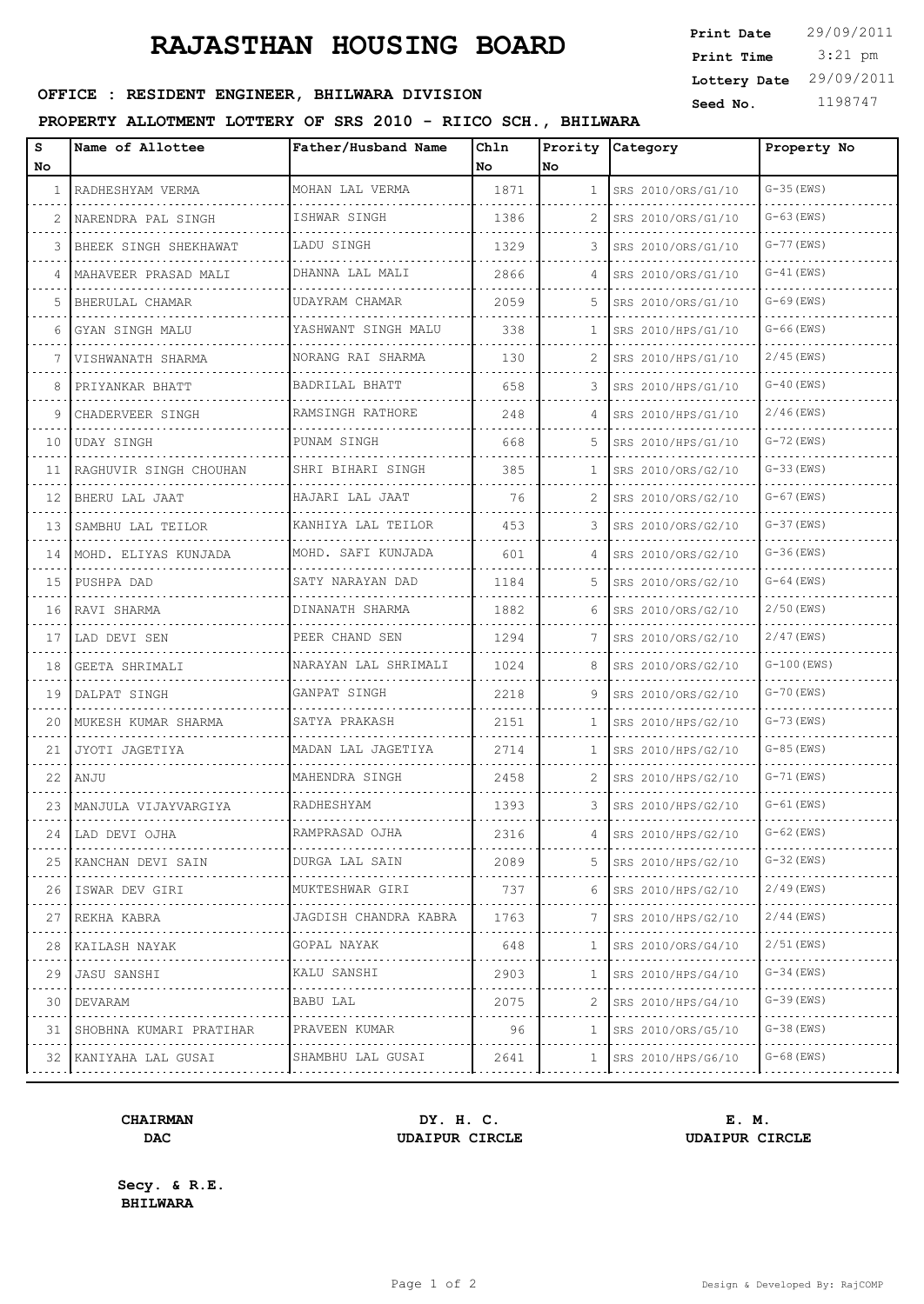## **RAJASTHAN HOUSING BOARD**

| <b>Print Date</b> | 29/09/2011 |
|-------------------|------------|
| Print Time        | $3:21$ pm  |
| Lottery Date      | 29/09/2011 |
| Seed No.          | 1198747    |

### OFFICE : RESIDENT ENGINEER, BHILWARA DIVISION

### **PROPERTY ALLOTMENT LOTTERY OF SRS 2010 - RIICO SCH., BHILWARA**

| s            | Name of Allottee        | Father/Husband Name        | Chln |                | Prority Category       | Property No    |
|--------------|-------------------------|----------------------------|------|----------------|------------------------|----------------|
| No           |                         |                            | No   | No.            |                        |                |
| $\mathbf{1}$ | RADHESHYAM VERMA        | MOHAN LAL VERMA            | 1871 | $\mathbf{1}$   | SRS 2010/ORS/G1/10     | $G-35$ (EWS)   |
| 2            | NARENDRA PAL SINGH      | ISHWAR SINGH               | 1386 | $\mathcal{L}$  | SRS 2010/ORS/G1/10     | $G-63$ (EWS)   |
| 3            | BHEEK SINGH SHEKHAWAT   | LADU SINGH                 | 1329 | 3              | SRS 2010/ORS/G1/10     | $G-77$ (EWS)   |
| 4            | MAHAVEER PRASAD MALI    | DHANNA LAL MALI            | 2866 | $\overline{4}$ | SRS 2010/ORS/G1/10     | $G-41$ (EWS)   |
| 5            | BHERULAL CHAMAR         | UDAYRAM CHAMAR             | 2059 | 5              | SRS 2010/ORS/G1/10     | $G-69$ (EWS)   |
| 6            | GYAN SINGH MALU         | YASHWANT SINGH MALU        | 338  | $\mathbf{1}$   | SRS 2010/HPS/G1/10     | $G-66$ (EWS)   |
| 7            | VISHWANATH SHARMA       | NORANG RAI SHARMA          | 130  | $\mathcal{L}$  | SRS 2010/HPS/G1/10     | $2/45$ (EWS)   |
| 8            | PRIYANKAR BHATT         | BADRILAL BHATT             | 658  | 3              | SRS 2010/HPS/G1/10     | $G-40$ (EWS)   |
| 9            | CHADERVEER SINGH        | RAMSINGH RATHORE           | 248  | 4              | SRS 2010/HPS/G1/10     | $2/46$ (EWS)   |
| 10           | <b>UDAY SINGH</b>       | PUNAM SINGH                | 668  | 5              | SRS 2010/HPS/G1/10     | $G-72$ (EWS)   |
| 11           | RAGHUVIR SINGH CHOUHAN  | SHRI BIHARI SINGH          | 385  | $\mathbf{1}$   | SRS 2010/ORS/G2/10     | $G-33$ (EWS)   |
| 12           | BHERU LAL JAAT          | HAJARI LAL JAAT            | 76   | $\mathcal{L}$  | SRS 2010/ORS/G2/10     | $G-67$ (EWS)   |
| 13           | SAMBHU LAL TEILOR       | KANHIYA LAL TEILOR         | 453  | 3              | SRS 2010/ORS/G2/10     | $G-37$ (EWS)   |
| 14           | MOHD. ELIYAS KUNJADA    | MOHD. SAFI KUNJADA         | 601  | 4              | SRS 2010/ORS/G2/10     | $G-36$ (EWS)   |
| 15           | PUSHPA DAD              | SATY NARAYAN DAD           | 1184 | 5              | SRS 2010/ORS/G2/10     | $G-64$ (EWS)   |
| 16           | RAVI SHARMA             | DINANATH SHARMA            | 1882 | 6              | SRS 2010/ORS/G2/10     | $2/50$ (EWS)   |
| 17           | LAD DEVI SEN            | PEER CHAND SEN             | 1294 | 7              | SRS 2010/ORS/G2/10     | $2/47$ (EWS)   |
| 18           | GEETA SHRIMALI          | NARAYAN LAL SHRIMALI       | 1024 | 8              | SRS 2010/ORS/G2/10     | $G-100$ (EWS)  |
| 19           | DALPAT SINGH            | GANPAT SINGH               | 2218 | 9              | SRS 2010/ORS/G2/10     | $G - 70$ (EWS) |
| 20           | MUKESH KUMAR SHARMA     | SATYA PRAKASH              | 2151 | $\mathbf{1}$   | SRS 2010/HPS/G2/10     | $G - 73$ (EWS) |
| 21           | JYOTI JAGETIYA          | MADAN LAL JAGETIYA         | 2714 | $\mathbf{1}$   | SRS 2010/HPS/G2/10     | $G-85$ (EWS)   |
| 22           | ANJU                    | MAHENDRA SINGH             | 2458 | 2              | SRS 2010/HPS/G2/10     | $G - 71$ (EWS) |
| 23           | MANJULA VIJAYVARGIYA    | RADHESHYAM                 | 1393 | 3              | SRS 2010/HPS/G2/10     | $G-61$ (EWS)   |
| 24           | LAD DEVI OJHA           | RAMPRASAD OJHA             | 2316 | 4              | SRS 2010/HPS/G2/10     | $G-62$ (EWS)   |
|              | 25 KANCHAN DEVI SAIN    | DURGA LAL SAIN             | 2089 | 5              | $ $ SRS 2010/HPS/G2/10 | $G-32$ (EWS)   |
| 26           | .<br>ISWAR DEV GIRI     | MUKTESHWAR GIRI            | 737  | 6.             | SRS 2010/HPS/G2/10     | 2/49(EWS)      |
| 27           | REKHA KABRA             | .<br>JAGDISH CHANDRA KABRA | 1763 | 7.             | SRS 2010/HPS/G2/10     | $2/44$ (EWS)   |
| 28           | .<br> KAILASH NAYAK     | GOPAL NAYAK                | 648  | 1              | SRS 2010/ORS/G4/10     | 2/51 (EWS)     |
| 29           | JASU SANSHI             | .<br>KALU SANSHI           | 2903 | 1              | SRS 2010/HPS/G4/10     | $G-34$ (EWS)   |
| 30           | DEVARAM                 | BABU LAL                   | 2075 | 2              | SRS 2010/HPS/G4/10     | G-39 (EWS)     |
| 31           | SHOBHNA KUMARI PRATIHAR | PRAVEEN KUMAR              | 96   | ı.             | SRS 2010/ORS/G5/10     | $G-38$ (EWS)   |
| 32           | KANIYAHA LAL GUSAI      | SHAMBHU LAL GUSAI          | 2641 | 1              | SRS 2010/HPS/G6/10     | G-68 (EWS)     |
|              |                         |                            |      |                |                        |                |

### **CHAIRMAN DY. H. C. E. M. DAC UDAIPUR CIRCLE UDAIPUR CIRCLE**

**Secy. & R.E. BHILWARA**